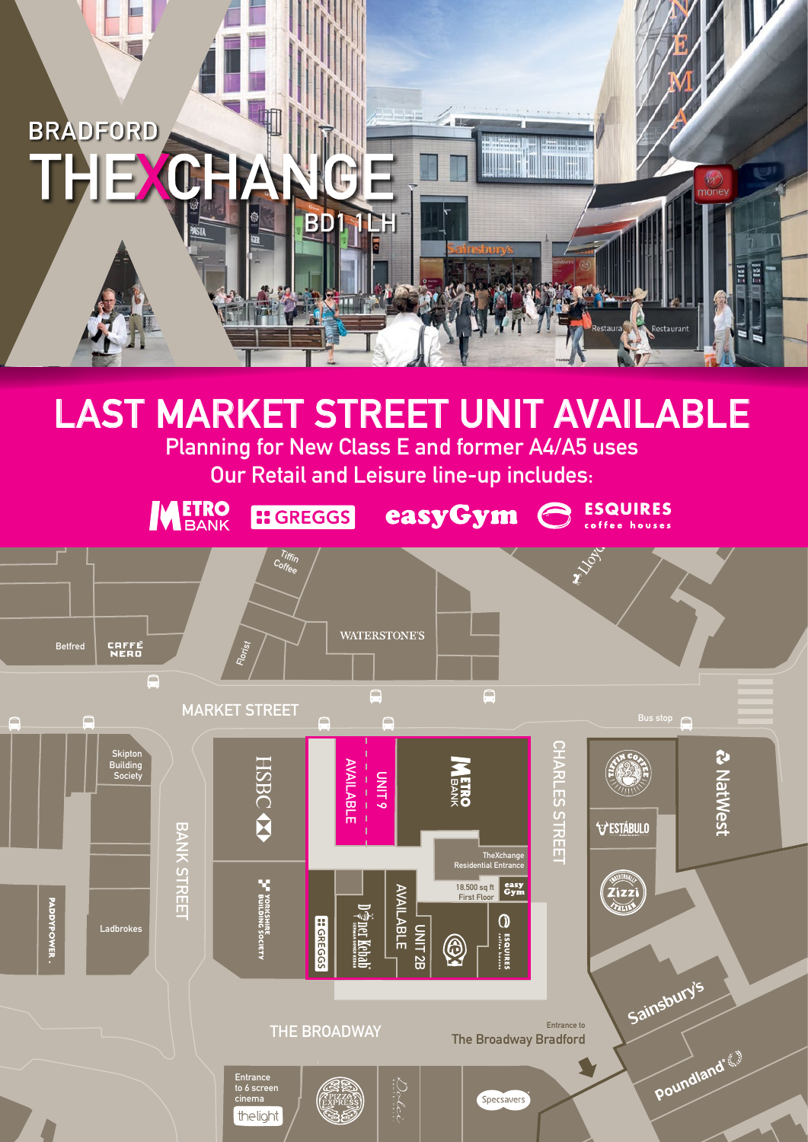

# **LAST MARKET STREET UNIT AVAILABLE**

**Planning for New Class E and former A4/A5 uses Our Retail and Leisure line-up includes:**